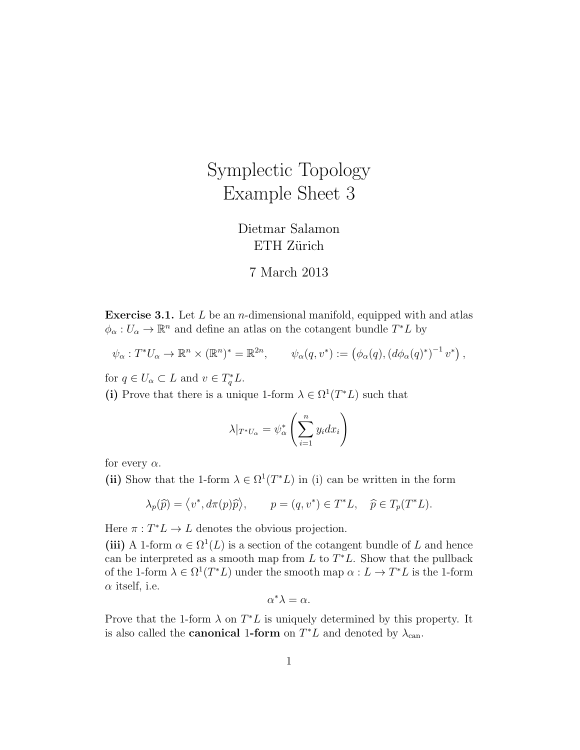## Symplectic Topology Example Sheet 3

Dietmar Salamon ETH Zürich

## 7 March 2013

**Exercise 3.1.** Let  $L$  be an *n*-dimensional manifold, equipped with and atlas  $\phi_{\alpha}: U_{\alpha} \to \mathbb{R}^n$  and define an atlas on the cotangent bundle  $T^*L$  by

$$
\psi_{\alpha}: T^*U_{\alpha} \to \mathbb{R}^n \times (\mathbb{R}^n)^* = \mathbb{R}^{2n}, \qquad \psi_{\alpha}(q, v^*) := (\phi_{\alpha}(q), (d\phi_{\alpha}(q)^*)^{-1} v^*) ,
$$

for  $q \in U_\alpha \subset L$  and  $v \in T_q^*L$ .

(i) Prove that there is a unique 1-form  $\lambda \in \Omega^1(T^*L)$  such that

$$
\lambda|_{T^*U_\alpha} = \psi_\alpha^* \left(\sum_{i=1}^n y_i dx_i\right)
$$

for every  $\alpha$ .

(ii) Show that the 1-form  $\lambda \in \Omega^1(T^*L)$  in (i) can be written in the form

$$
\lambda_p(\widehat{p}) = \langle v^*, d\pi(p)\widehat{p} \rangle, \qquad p = (q, v^*) \in T^*L, \quad \widehat{p} \in T_p(T^*L).
$$

Here  $\pi : T^*L \to L$  denotes the obvious projection.

(iii) A 1-form  $\alpha \in \Omega^1(L)$  is a section of the cotangent bundle of L and hence can be interpreted as a smooth map from  $L$  to  $T^*L$ . Show that the pullback of the 1-form  $\lambda \in \Omega^1(T^*L)$  under the smooth map  $\alpha: L \to T^*L$  is the 1-form  $\alpha$  itself, i.e.

$$
\alpha^*\lambda = \alpha.
$$

Prove that the 1-form  $\lambda$  on  $T^*L$  is uniquely determined by this property. It is also called the **canonical 1-form** on  $T^*L$  and denoted by  $\lambda_{\text{can}}$ .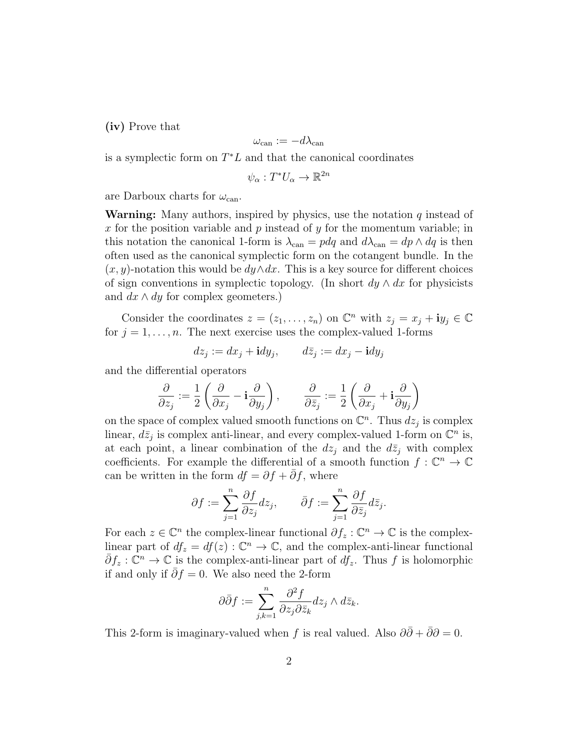(iv) Prove that

$$
\omega_{\mathrm{can}}:=-d\lambda_{\mathrm{can}}
$$

is a symplectic form on  $T^*L$  and that the canonical coordinates

$$
\psi_\alpha:T^*U_\alpha\to\mathbb{R}^{2n}
$$

are Darboux charts for  $\omega_{\rm can}$ .

**Warning:** Many authors, inspired by physics, use the notation  $q$  instead of x for the position variable and  $p$  instead of  $y$  for the momentum variable; in this notation the canonical 1-form is  $\lambda_{\text{can}} = pdq$  and  $d\lambda_{\text{can}} = dp \wedge dq$  is then often used as the canonical symplectic form on the cotangent bundle. In the  $(x, y)$ -notation this would be  $dy \wedge dx$ . This is a key source for different choices of sign conventions in symplectic topology. (In short  $dy \wedge dx$  for physicists and  $dx \wedge dy$  for complex geometers.)

Consider the coordinates  $z = (z_1, \ldots, z_n)$  on  $\mathbb{C}^n$  with  $z_j = x_j + iy_j \in \mathbb{C}$ for  $j = 1, \ldots, n$ . The next exercise uses the complex-valued 1-forms

$$
dz_j := dx_j + \mathbf{i} dy_j, \qquad d\bar{z}_j := dx_j - \mathbf{i} dy_j
$$

and the differential operators

$$
\frac{\partial}{\partial z_j} := \frac{1}{2} \left( \frac{\partial}{\partial x_j} - \mathbf{i} \frac{\partial}{\partial y_j} \right), \qquad \frac{\partial}{\partial \bar{z}_j} := \frac{1}{2} \left( \frac{\partial}{\partial x_j} + \mathbf{i} \frac{\partial}{\partial y_j} \right)
$$

on the space of complex valued smooth functions on  $\mathbb{C}^n$ . Thus  $dz_j$  is complex linear,  $d\bar{z}_j$  is complex anti-linear, and every complex-valued 1-form on  $\mathbb{C}^n$  is, at each point, a linear combination of the  $dz_j$  and the  $d\overline{z}_j$  with complex coefficients. For example the differential of a smooth function  $f: \mathbb{C}^n \to \mathbb{C}$ can be written in the form  $df = \partial f + \partial f$ , where

$$
\partial f := \sum_{j=1}^n \frac{\partial f}{\partial z_j} dz_j, \qquad \bar{\partial} f := \sum_{j=1}^n \frac{\partial f}{\partial \bar{z}_j} d\bar{z}_j.
$$

For each  $z \in \mathbb{C}^n$  the complex-linear functional  $\partial f_z : \mathbb{C}^n \to \mathbb{C}$  is the complexlinear part of  $df_z = df(z)$ :  $\mathbb{C}^n \to \mathbb{C}$ , and the complex-anti-linear functional  $\bar{\partial}f_z:\mathbb{C}^n\to\mathbb{C}$  is the complex-anti-linear part of  $df_z$ . Thus f is holomorphic if and only if  $\partial f = 0$ . We also need the 2-form

$$
\partial \bar{\partial} f := \sum_{j,k=1}^n \frac{\partial^2 f}{\partial z_j \partial \bar{z}_k} dz_j \wedge d\bar{z}_k.
$$

This 2-form is imaginary-valued when f is real valued. Also  $\partial\bar{\partial} + \bar{\partial}\partial = 0$ .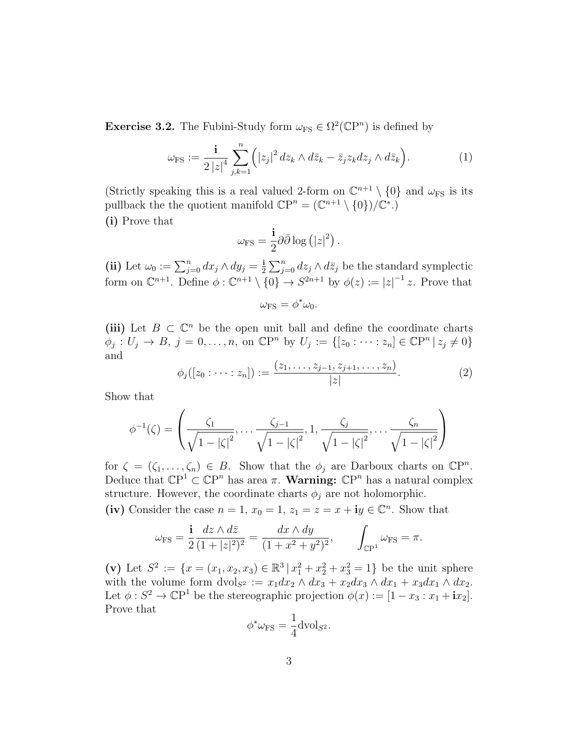**Exercise 3.2.** The Fubini-Study form  $\omega_{FS} \in \Omega^2(\mathbb{C}P^n)$  is defined by

$$
\omega_{\rm FS} := \frac{\mathbf{i}}{2\,|z|^4} \sum_{j,k=1}^n \Bigl( |z_j|^2 \, dz_k \wedge d\bar{z}_k - \bar{z}_j z_k dz_j \wedge d\bar{z}_k \Bigr). \tag{1}
$$

(Strictly speaking this is a real valued 2-form on  $\mathbb{C}^{n+1} \setminus \{0\}$  and  $\omega_{FS}$  is its pullback the the quotient manifold  $\mathbb{C}P^n = (\mathbb{C}^{n+1} \setminus \{0\})/\mathbb{C}^*$ . (i) Prove that

$$
\omega_{\rm FS} = \frac{\mathbf{i}}{2} \partial \bar{\partial} \log (|z|^2) .
$$

(ii) Let  $\omega_0 := \sum_{j=0}^n dx_j \wedge dy_j = \frac{1}{2}$  $\frac{1}{2} \sum_{j=0}^{n} dz_j \wedge d\overline{z}_j$  be the standard symplectic form on  $\mathbb{C}^{n+1}$ . Define  $\phi : \mathbb{C}^{n+1} \setminus \{0\} \to S^{2n+1}$  by  $\phi(z) := |z|^{-1} z$ . Prove that

$$
\omega_{\rm FS}=\phi^*\omega_0.
$$

(iii) Let  $B \subset \mathbb{C}^n$  be the open unit ball and define the coordinate charts  $\phi_j : U_j \to B, \ j = 0, \ldots, n, \text{ on } \mathbb{C}\mathbb{P}^n \text{ by } U_j := \{ [z_0 : \cdots : z_n] \in \mathbb{C}\mathbb{P}^n \mid z_j \neq 0 \}$ and

$$
\phi_j([z_0:\dots:z_n]):=\frac{(z_1,\dots,z_{j-1},z_{j+1},\dots,z_n)}{|z|}.
$$
 (2)

Show that

$$
\phi^{-1}(\zeta) = \left(\frac{\zeta_1}{\sqrt{1-|\zeta|^2}}, \dots, \frac{\zeta_{j-1}}{\sqrt{1-|\zeta|^2}}, 1, \frac{\zeta_j}{\sqrt{1-|\zeta|^2}}, \dots, \frac{\zeta_n}{\sqrt{1-|\zeta|^2}}\right)
$$

for  $\zeta = (\zeta_1, \ldots, \zeta_n) \in B$ . Show that the  $\phi_j$  are Darboux charts on  $\mathbb{C}P^n$ . Deduce that  $\mathbb{C}P^1 \subset \mathbb{C}P^n$  has area  $\pi$ . **Warning:**  $\mathbb{C}P^n$  has a natural complex structure. However, the coordinate charts  $\phi_j$  are not holomorphic.

(iv) Consider the case  $n = 1$ ,  $x_0 = 1$ ,  $z_1 = z = x + iy \in \mathbb{C}^n$ . Show that

$$
\omega_{\rm FS} = \frac{\mathbf{i}}{2} \frac{dz \wedge d\bar{z}}{(1+|z|^2)^2} = \frac{dx \wedge dy}{(1+x^2+y^2)^2}, \qquad \int_{\mathbb{C}\mathrm{P}^1} \omega_{\rm FS} = \pi.
$$

(v) Let  $S^2 := \{x = (x_1, x_2, x_3) \in \mathbb{R}^3 \mid x_1^2 + x_2^2 + x_3^2 = 1\}$  be the unit sphere with the volume form dvol<sub>S2</sub> :=  $x_1dx_2 \wedge dx_3 + x_2dx_3 \wedge dx_1 + x_3dx_1 \wedge dx_2$ . Let  $\phi: S^2 \to \mathbb{C}P^1$  be the stereographic projection  $\phi(x) := [1 - x_3 : x_1 + i x_2]$ . Prove that

$$
\phi^* \omega_{\text{FS}} = \frac{1}{4} \text{dvol}_{S^2}.
$$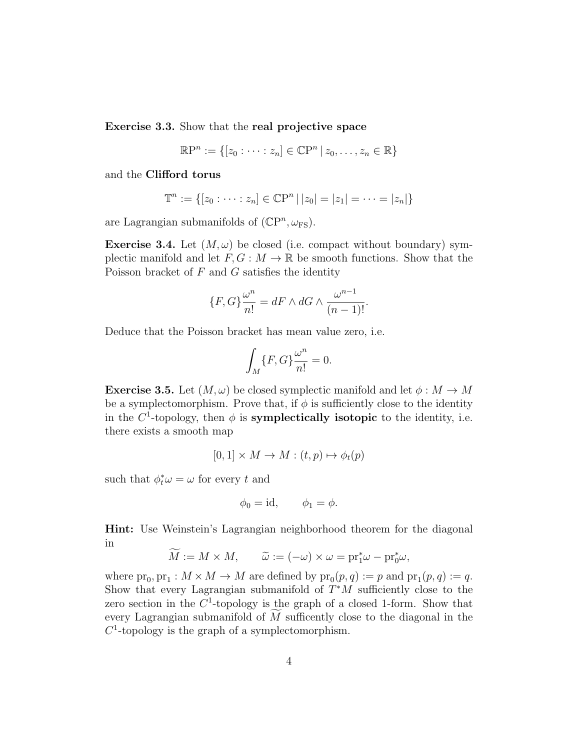Exercise 3.3. Show that the real projective space

$$
\mathbb{R}\mathrm{P}^n := \{ [z_0 : \cdots : z_n] \in \mathbb{C}\mathrm{P}^n \, | \, z_0, \ldots, z_n \in \mathbb{R} \}
$$

and the Clifford torus

$$
\mathbb{T}^n := \{ [z_0 : \dots : z_n] \in \mathbb{C}P^n \mid |z_0| = |z_1| = \dots = |z_n| \}
$$

are Lagrangian submanifolds of  $(\mathbb{C}P^n, \omega_{FS})$ .

**Exercise 3.4.** Let  $(M, \omega)$  be closed (i.e. compact without boundary) symplectic manifold and let  $F, G: M \to \mathbb{R}$  be smooth functions. Show that the Poisson bracket of  $F$  and  $G$  satisfies the identity

$$
\{F, G\} \frac{\omega^n}{n!} = dF \wedge dG \wedge \frac{\omega^{n-1}}{(n-1)!}.
$$

Deduce that the Poisson bracket has mean value zero, i.e.

$$
\int_M \{F, G\} \frac{\omega^n}{n!} = 0.
$$

**Exercise 3.5.** Let  $(M, \omega)$  be closed symplectic manifold and let  $\phi : M \to M$ be a symplectomorphism. Prove that, if  $\phi$  is sufficiently close to the identity in the  $C^1$ -topology, then  $\phi$  is **symplectically isotopic** to the identity, i.e. there exists a smooth map

$$
[0,1] \times M \to M : (t,p) \mapsto \phi_t(p)
$$

such that  $\phi_t^* \omega = \omega$  for every t and

$$
\phi_0 = \mathrm{id}, \qquad \phi_1 = \phi.
$$

Hint: Use Weinstein's Lagrangian neighborhood theorem for the diagonal in

$$
\widetilde{M} := M \times M, \qquad \widetilde{\omega} := (-\omega) \times \omega = \text{pr}_1^* \omega - \text{pr}_0^* \omega,
$$

where  $pr_0, pr_1: M \times M \to M$  are defined by  $pr_0(p,q) := p$  and  $pr_1(p,q) := q$ . Show that every Lagrangian submanifold of  $T^*M$  sufficiently close to the zero section in the  $C^1$ -topology is the graph of a closed 1-form. Show that every Lagrangian submanifold of  $M$  sufficently close to the diagonal in the  $C<sup>1</sup>$ -topology is the graph of a symplectomorphism.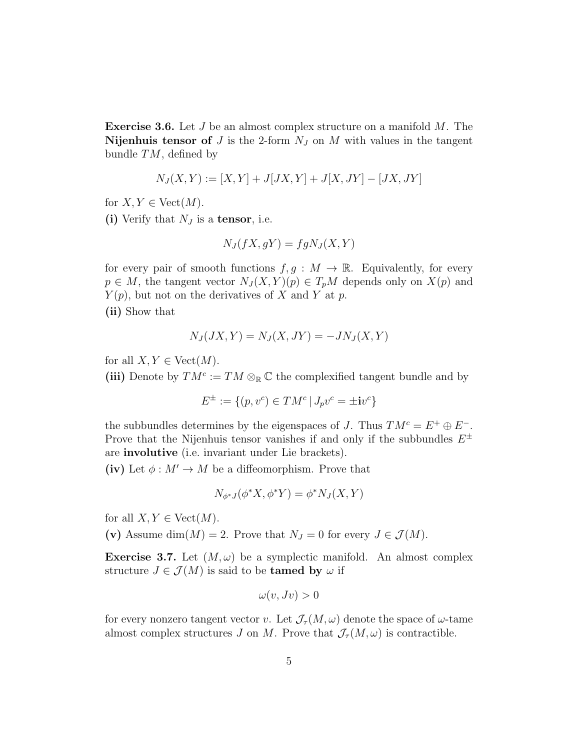**Exercise 3.6.** Let  $J$  be an almost complex structure on a manifold  $M$ . The Nijenhuis tensor of J is the 2-form  $N_J$  on M with values in the tangent bundle  $TM$ , defined by

$$
N_J(X, Y) := [X, Y] + J[JX, Y] + J[X, JY] - [JX, JY]
$$

for  $X, Y \in \text{Vect}(M)$ .

(i) Verify that  $N_J$  is a tensor, i.e.

$$
N_J(fX,gY) = fgN_J(X,Y)
$$

for every pair of smooth functions  $f, g : M \to \mathbb{R}$ . Equivalently, for every  $p \in M$ , the tangent vector  $N_J(X, Y)(p) \in T_pM$  depends only on  $X(p)$  and  $Y(p)$ , but not on the derivatives of X and Y at p.

(ii) Show that

$$
N_J(JX,Y) = N_J(X,JY) = -JN_J(X,Y)
$$

for all  $X, Y \in \text{Vect}(M)$ .

(iii) Denote by  $TM^c := TM \otimes_{\mathbb{R}} \mathbb{C}$  the complexified tangent bundle and by

$$
E^{\pm} := \{(p, v^c) \in TM^c \mid J_p v^c = \pm i v^c\}
$$

the subbundles determines by the eigenspaces of J. Thus  $TM^c = E^+ \oplus E^-$ . Prove that the Nijenhuis tensor vanishes if and only if the subbundles  $E^{\pm}$ are involutive (i.e. invariant under Lie brackets).

(iv) Let  $\phi : M' \to M$  be a diffeomorphism. Prove that

$$
N_{\phi^*J}(\phi^*X, \phi^*Y) = \phi^*N_J(X, Y)
$$

for all  $X, Y \in \text{Vect}(M)$ .

(v) Assume dim $(M) = 2$ . Prove that  $N_J = 0$  for every  $J \in \mathcal{J}(M)$ .

**Exercise 3.7.** Let  $(M, \omega)$  be a symplectic manifold. An almost complex structure  $J \in \mathcal{J}(M)$  is said to be **tamed by**  $\omega$  if

$$
\omega(v,Jv) > 0
$$

for every nonzero tangent vector v. Let  $\mathcal{J}_{\tau}(M,\omega)$  denote the space of  $\omega$ -tame almost complex structures J on M. Prove that  $\mathcal{J}_{\tau}(M,\omega)$  is contractible.